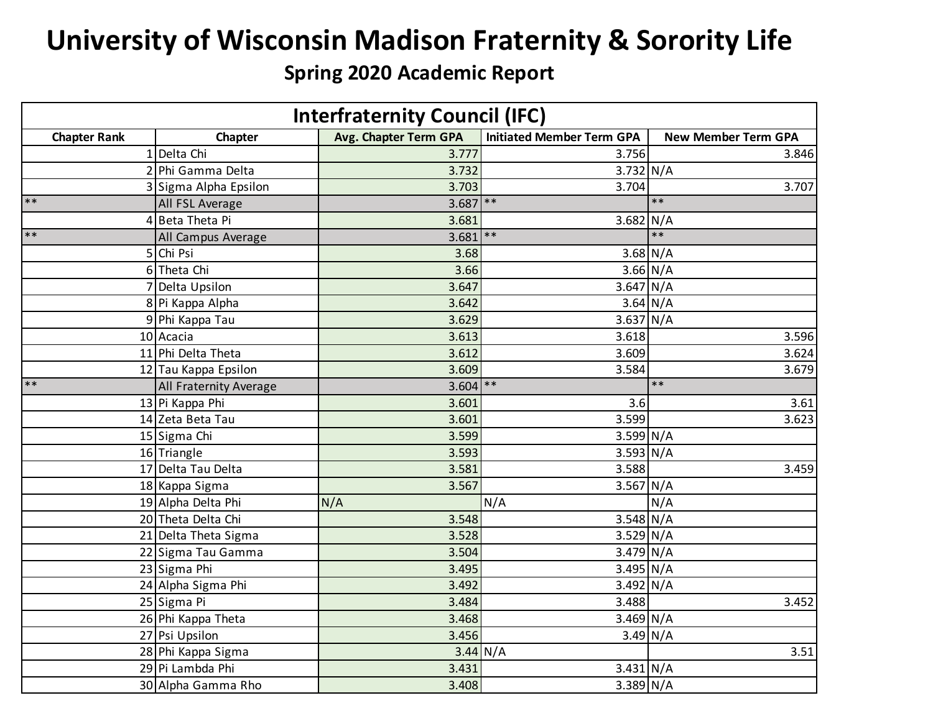## **University of Wisconsin Madison Fraternity & Sorority Life**

## **Spring 2020 Academic Report**

| <b>Interfraternity Council (IFC)</b> |                        |                       |                                  |                            |  |
|--------------------------------------|------------------------|-----------------------|----------------------------------|----------------------------|--|
| <b>Chapter Rank</b>                  | Chapter                | Avg. Chapter Term GPA | <b>Initiated Member Term GPA</b> | <b>New Member Term GPA</b> |  |
|                                      | 1 Delta Chi            | 3.777                 | 3.756                            | 3.846                      |  |
|                                      | 2 Phi Gamma Delta      | 3.732                 | $3.732$ N/A                      |                            |  |
|                                      | 3 Sigma Alpha Epsilon  | 3.703                 | 3.704                            | 3.707                      |  |
| $**$                                 | All FSL Average        | $3.687$ **            |                                  | $***$                      |  |
|                                      | 4 Beta Theta Pi        | 3.681                 | $3.682$ N/A                      |                            |  |
| $**$                                 | All Campus Average     | $3.681$ **            |                                  | $**$                       |  |
|                                      | 5 Chi Psi              | 3.68                  |                                  | $3.68$ N/A                 |  |
|                                      | 6 Theta Chi            | 3.66                  |                                  | $3.66$ N/A                 |  |
|                                      | 7 Delta Upsilon        | 3.647                 | $3.647$ N/A                      |                            |  |
|                                      | 8 Pi Kappa Alpha       | 3.642                 |                                  | $3.64$ N/A                 |  |
|                                      | 9 Phi Kappa Tau        | 3.629                 | $3.637$ N/A                      |                            |  |
|                                      | 10 Acacia              | 3.613                 | 3.618                            | 3.596                      |  |
|                                      | 11 Phi Delta Theta     | 3.612                 | 3.609                            | 3.624                      |  |
|                                      | 12 Tau Kappa Epsilon   | 3.609                 | 3.584                            | 3.679                      |  |
| $**$                                 | All Fraternity Average | $3.604$ **            |                                  | $**$                       |  |
|                                      | 13 Pi Kappa Phi        | 3.601                 | 3.6                              | 3.61                       |  |
|                                      | 14 Zeta Beta Tau       | 3.601                 | 3.599                            | 3.623                      |  |
|                                      | 15 Sigma Chi           | 3.599                 | $3.599$ N/A                      |                            |  |
|                                      | 16 Triangle            | 3.593                 | $3.593$ N/A                      |                            |  |
|                                      | 17 Delta Tau Delta     | 3.581                 | 3.588                            | 3.459                      |  |
|                                      | 18 Kappa Sigma         | 3.567                 | $3.567$ N/A                      |                            |  |
|                                      | 19 Alpha Delta Phi     | N/A                   | N/A                              | N/A                        |  |
|                                      | 20 Theta Delta Chi     | 3.548                 | $3.548$ N/A                      |                            |  |
|                                      | 21 Delta Theta Sigma   | 3.528                 | $3.529$ N/A                      |                            |  |
|                                      | 22 Sigma Tau Gamma     | 3.504                 | $3.479$ N/A                      |                            |  |
|                                      | 23 Sigma Phi           | 3.495                 | $3.495$ N/A                      |                            |  |
|                                      | 24 Alpha Sigma Phi     | 3.492                 | $3.492$ N/A                      |                            |  |
|                                      | 25 Sigma Pi            | 3.484                 | 3.488                            | 3.452                      |  |
|                                      | 26 Phi Kappa Theta     | 3.468                 | $3.469$ N/A                      |                            |  |
|                                      | 27 Psi Upsilon         | 3.456                 |                                  | $\overline{3.49}$ N/A      |  |
|                                      | 28 Phi Kappa Sigma     |                       | $3.44$ N/A                       | 3.51                       |  |
|                                      | 29 Pi Lambda Phi       | 3.431                 | $3.431$ N/A                      |                            |  |
|                                      | 30 Alpha Gamma Rho     | 3.408                 | $3.389$ N/A                      |                            |  |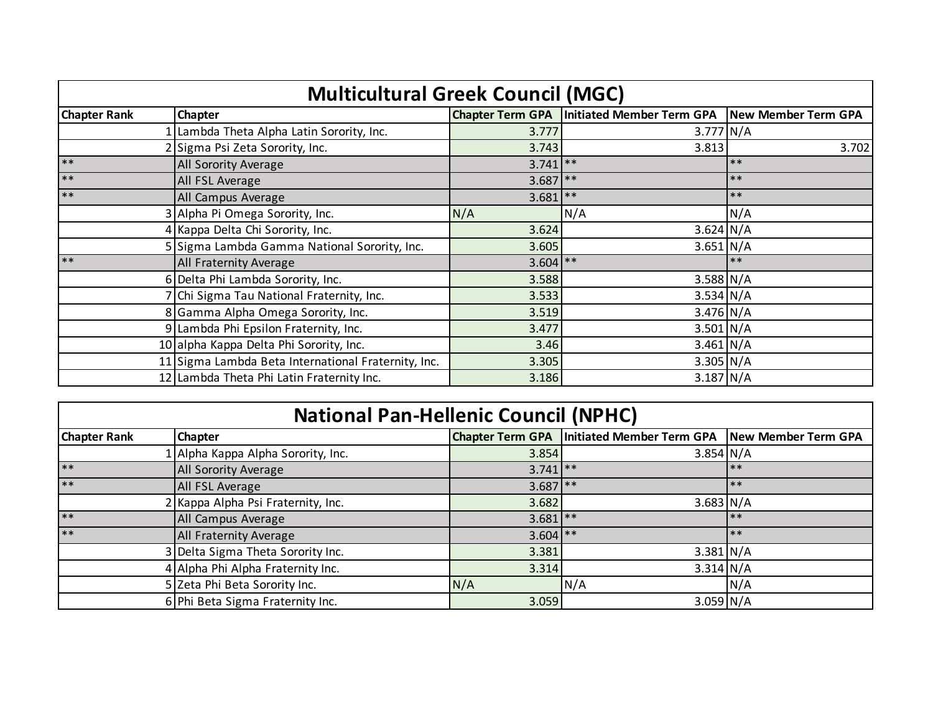| <b>Multicultural Greek Council (MGC)</b> |                                                     |            |                                                                    |       |  |  |
|------------------------------------------|-----------------------------------------------------|------------|--------------------------------------------------------------------|-------|--|--|
| <b>Chapter Rank</b>                      | <b>Chapter</b>                                      |            | Chapter Term GPA   Initiated Member Term GPA   New Member Term GPA |       |  |  |
|                                          | Lambda Theta Alpha Latin Sorority, Inc.             | 3.777      | $3.777$ N/A                                                        |       |  |  |
|                                          | Sigma Psi Zeta Sorority, Inc.                       | 3.743      | 3.813                                                              | 3.702 |  |  |
| $**$                                     | All Sorority Average                                | $3.741$ ** |                                                                    | $***$ |  |  |
| $***$                                    | All FSL Average                                     | $3.687$ ** |                                                                    | $***$ |  |  |
| $**$                                     | All Campus Average                                  | $3.681$ ** |                                                                    | $***$ |  |  |
|                                          | 3 Alpha Pi Omega Sorority, Inc.                     | N/A        | N/A                                                                | N/A   |  |  |
|                                          | 4 Kappa Delta Chi Sorority, Inc.                    | 3.624      | $3.624 \text{ N/A}$                                                |       |  |  |
|                                          | 5 Sigma Lambda Gamma National Sorority, Inc.        | 3.605      | $3.651$ N/A                                                        |       |  |  |
| $**$                                     | <b>All Fraternity Average</b>                       | $3.604$ ** |                                                                    | $***$ |  |  |
|                                          | 6 Delta Phi Lambda Sorority, Inc.                   | 3.588      | $3.588$ N/A                                                        |       |  |  |
|                                          | 7 Chi Sigma Tau National Fraternity, Inc.           | 3.533      | $3.534$ N/A                                                        |       |  |  |
|                                          | 8 Gamma Alpha Omega Sorority, Inc.                  | 3.519      | $3.476$ N/A                                                        |       |  |  |
|                                          | 9 Lambda Phi Epsilon Fraternity, Inc.               | 3.477      | $3.501$ N/A                                                        |       |  |  |
|                                          | 10 alpha Kappa Delta Phi Sorority, Inc.             | 3.46       | $3.461$ N/A                                                        |       |  |  |
|                                          | 11 Sigma Lambda Beta International Fraternity, Inc. | 3.305      | $3.305$ N/A                                                        |       |  |  |
|                                          | 12 Lambda Theta Phi Latin Fraternity Inc.           | 3.186      | $3.187$ N/A                                                        |       |  |  |

## **National Pan-Hellenic Council (NPHC)**

| <b>Chapter Rank</b> | <b>Chapter</b>                     |            | Chapter Term GPA   Initiated Member Term GPA   New Member Term GPA |      |
|---------------------|------------------------------------|------------|--------------------------------------------------------------------|------|
|                     | 1 Alpha Kappa Alpha Sorority, Inc. | 3.854      | $3.854$ N/A                                                        |      |
| $**$                | <b>All Sorority Average</b>        | $3.741$ ** |                                                                    | $**$ |
| $***$               | All FSL Average                    | $3.687$ ** |                                                                    | $**$ |
|                     | 2 Kappa Alpha Psi Fraternity, Inc. | 3.682      | $3.683$ N/A                                                        |      |
| $**$                | All Campus Average                 | $3.681$ ** |                                                                    | **   |
| $***$               | <b>All Fraternity Average</b>      | $3.604$ ** |                                                                    | $**$ |
|                     | 3 Delta Sigma Theta Sorority Inc.  | 3.381      | $3.381$ N/A                                                        |      |
|                     | 4 Alpha Phi Alpha Fraternity Inc.  | 3.314      | $3.314$ N/A                                                        |      |
|                     | 5 Zeta Phi Beta Sorority Inc.      | N/A        | N/A                                                                | N/A  |
|                     | 6 Phi Beta Sigma Fraternity Inc.   | 3.059      | $3.059$ N/A                                                        |      |